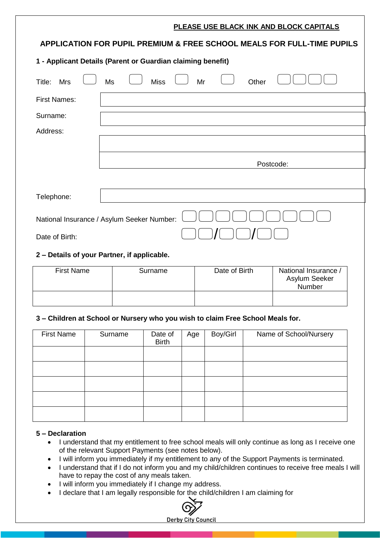# **PLEASE USE BLACK INK AND BLOCK CAPITALS APPLICATION FOR PUPIL PREMIUM & FREE SCHOOL MEALS FOR FULL-TIME PUPILS 1 - Applicant Details (Parent or Guardian claiming benefit)** Title: Mrs  $\bigcirc$  Ms  $\bigcirc$  Miss  $\bigcirc$  Mr  $\bigcirc$  Other  $\bigcirc$  O $\bigcirc$  O First Names: Surname: Address: Postcode: Telephone: National Insurance / Asylum Seeker Number: Date of Birth:  $\bigcirc$   $\bigcirc$   $\bigcirc$   $\bigcirc$   $\bigcirc$   $\bigcirc$   $\bigcirc$   $\bigcirc$ **2 – Details of your Partner, if applicable.**

| <b>First Name</b> | Surname | Date of Birth | National Insurance /<br>Asylum Seeker<br>Number |
|-------------------|---------|---------------|-------------------------------------------------|
|                   |         |               |                                                 |

## **3 – Children at School or Nursery who you wish to claim Free School Meals for.**

| <b>First Name</b> | Surname | Date of<br><b>Birth</b> | Age | Boy/Girl | Name of School/Nursery |
|-------------------|---------|-------------------------|-----|----------|------------------------|
|                   |         |                         |     |          |                        |
|                   |         |                         |     |          |                        |
|                   |         |                         |     |          |                        |
|                   |         |                         |     |          |                        |
|                   |         |                         |     |          |                        |

### **5 – Declaration**

- I understand that my entitlement to free school meals will only continue as long as I receive one of the relevant Support Payments (see notes below).
- I will inform you immediately if my entitlement to any of the Support Payments is terminated.
- I understand that if I do not inform you and my child/children continues to receive free meals I will have to repay the cost of any meals taken.
- I will inform you immediately if I change my address.
- I declare that I am legally responsible for the child/children I am claiming for